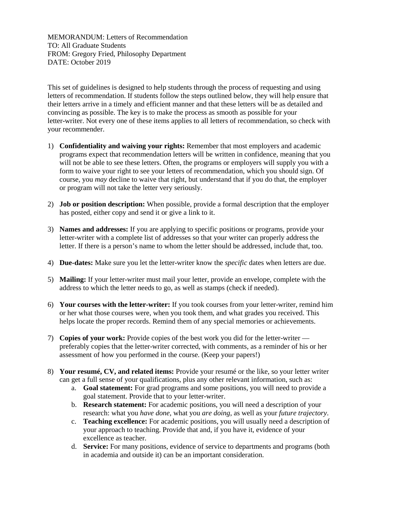MEMORANDUM: Letters of Recommendation TO: All Graduate Students FROM: Gregory Fried, Philosophy Department DATE: October 2019

This set of guidelines is designed to help students through the process of requesting and using letters of recommendation. If students follow the steps outlined below, they will help ensure that their letters arrive in a timely and efficient manner and that these letters will be as detailed and convincing as possible. The key is to make the process as smooth as possible for your letter-writer. Not every one of these items applies to all letters of recommendation, so check with your recommender.

- 1) **Confidentiality and waiving your rights:** Remember that most employers and academic programs expect that recommendation letters will be written in confidence, meaning that you will not be able to see these letters. Often, the programs or employers will supply you with a form to waive your right to see your letters of recommendation, which you should sign. Of course, you *may* decline to waive that right, but understand that if you do that, the employer or program will not take the letter very seriously.
- 2) **Job or position description:** When possible, provide a formal description that the employer has posted, either copy and send it or give a link to it.
- 3) **Names and addresses:** If you are applying to specific positions or programs, provide your letter-writer with a complete list of addresses so that your writer can properly address the letter. If there is a person's name to whom the letter should be addressed, include that, too.
- 4) **Due-dates:** Make sure you let the letter-writer know the *specific* dates when letters are due.
- 5) **Mailing:** If your letter-writer must mail your letter, provide an envelope, complete with the address to which the letter needs to go, as well as stamps (check if needed).
- 6) **Your courses with the letter-writer:** If you took courses from your letter-writer, remind him or her what those courses were, when you took them, and what grades you received. This helps locate the proper records. Remind them of any special memories or achievements.
- 7) **Copies of your work:** Provide copies of the best work you did for the letter-writer preferably copies that the letter-writer corrected, with comments, as a reminder of his or her assessment of how you performed in the course. (Keep your papers!)
- 8) **Your resumé, CV, and related items:** Provide your resumé or the like, so your letter writer can get a full sense of your qualifications, plus any other relevant information, such as:
	- a. **Goal statement:** For grad programs and some positions, you will need to provide a goal statement. Provide that to your letter-writer.
	- b. **Research statement:** For academic positions, you will need a description of your research: what you *have done*, what you *are doing*, as well as your *future trajectory*.
	- c. **Teaching excellence:** For academic positions, you will usually need a description of your approach to teaching. Provide that and, if you have it, evidence of your excellence as teacher.
	- d. **Service:** For many positions, evidence of service to departments and programs (both in academia and outside it) can be an important consideration.